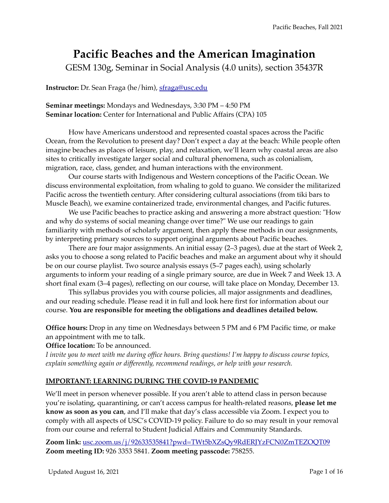# **Pacific Beaches and the American Imagination**

GESM 130g, Seminar in Social Analysis (4.0 units), section 35437R

**Instructor:** Dr. Sean Fraga (he/him), [sfraga@usc.edu](mailto:sfraga@usc.edu)

## **Seminar meetings:** Mondays and Wednesdays, 3:30 PM – 4:50 PM **Seminar location:** Center for International and Public Affairs (CPA) 105

How have Americans understood and represented coastal spaces across the Pacific Ocean, from the Revolution to present day? Don't expect a day at the beach: While people often imagine beaches as places of leisure, play, and relaxation, we'll learn why coastal areas are also sites to critically investigate larger social and cultural phenomena, such as colonialism, migration, race, class, gender, and human interactions with the environment.

Our course starts with Indigenous and Western conceptions of the Pacific Ocean. We discuss environmental exploitation, from whaling to gold to guano. We consider the militarized Pacific across the twentieth century. After considering cultural associations (from tiki bars to Muscle Beach), we examine containerized trade, environmental changes, and Pacific futures.

We use Pacific beaches to practice asking and answering a more abstract question: "How and why do systems of social meaning change over time?" We use our readings to gain familiarity with methods of scholarly argument, then apply these methods in our assignments, by interpreting primary sources to support original arguments about Pacific beaches.

There are four major assignments. An initial essay (2–3 pages), due at the start of Week 2, asks you to choose a song related to Pacific beaches and make an argument about why it should be on our course playlist. Two source analysis essays (5–7 pages each), using scholarly arguments to inform your reading of a single primary source, are due in Week 7 and Week 13. A short final exam (3–4 pages), reflecting on our course, will take place on Monday, December 13.

This syllabus provides you with course policies, all major assignments and deadlines, and our reading schedule. Please read it in full and look here first for information about our course. **You are responsible for meeting the obligations and deadlines detailed below.** 

**Office hours:** Drop in any time on Wednesdays between 5 PM and 6 PM Pacific time, or make an appointment with me to talk.

**Office location:** To be announced.

*I invite you to meet with me during office hours. Bring questions! I'm happy to discuss course topics, explain something again or differently, recommend readings, or help with your research.* 

# **IMPORTANT: LEARNING DURING THE COVID-19 PANDEMIC**

We'll meet in person whenever possible. If you aren't able to attend class in person because you're isolating, quarantining, or can't access campus for health-related reasons, **please let me know as soon as you can**, and I'll make that day's class accessible via Zoom. I expect you to comply with all aspects of USC's COVID-19 policy. Failure to do so may result in your removal from our course and referral to Student Judicial Affairs and Community Standards.

**Zoom link:** [usc.zoom.us/j/92633535841?pwd=TWt5bXZsQy9RdERJYzFCN0ZmTEZOQT09](https://usc.zoom.us/j/92633535841?pwd=TWt5bXZsQy9RdERJYzFCN0ZmTEZOQT09) **Zoom meeting ID:** 926 3353 5841. **Zoom meeting passcode:** 758255.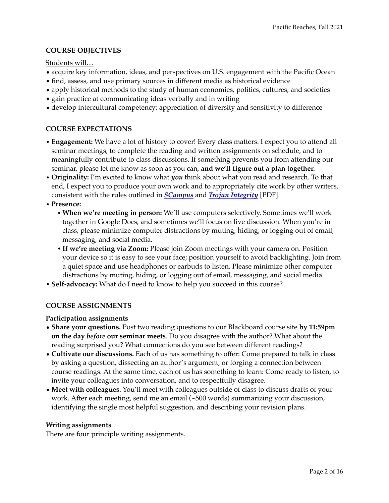## **COURSE OBJECTIVES**

Students will…

- acquire key information, ideas, and perspectives on U.S. engagement with the Pacific Ocean
- find, assess, and use primary sources in different media as historical evidence
- apply historical methods to the study of human economies, politics, cultures, and societies
- gain practice at communicating ideas verbally and in writing
- develop intercultural competency: appreciation of diversity and sensitivity to difference

## **COURSE EXPECTATIONS**

- **• Engagement:** We have a lot of history to cover! Every class matters. I expect you to attend all seminar meetings, to complete the reading and written assignments on schedule, and to meaningfully contribute to class discussions. If something prevents you from attending our seminar, please let me know as soon as you can, **and we'll figure out a plan together.**
- **• Originality:** I'm excited to know what *you* think about what you read and research. To that end, I expect you to produce your own work and to appropriately cite work by other writers, consistent with the rules outlined in *[SCampus](http://www.apple.com)* and *[Trojan Integrity](https://dornsife.usc.edu/assets/sites/903/docs/Trojan_Integrity_-_Guide_to_Avoiding_Plagiarism.pdf)* [PDF].
- **• Presence:**
	- **•When we're meeting in person:** We'll use computers selectively. Sometimes we'll work together in Google Docs, and sometimes we'll focus on live discussion. When you're in class, please minimize computer distractions by muting, hiding, or logging out of email, messaging, and social media.
	- **•If we're meeting via Zoom:** Please join Zoom meetings with your camera on. Position your device so it is easy to see your face; position yourself to avoid backlighting. Join from a quiet space and use headphones or earbuds to listen. Please minimize other computer distractions by muting, hiding, or logging out of email, messaging, and social media.
- **• Self-advocacy:** What do I need to know to help you succeed in this course?

## **COURSE ASSIGNMENTS**

#### **Participation assignments**

- **Share your questions.** Post two reading questions to our Blackboard course site **by 11:59pm on the day** *before* **our seminar meets**. Do you disagree with the author? What about the reading surprised you? What connections do you see between different readings?
- **Cultivate our discussions.** Each of us has something to offer: Come prepared to talk in class by asking a question, dissecting an author's argument, or forging a connection between course readings. At the same time, each of us has something to learn: Come ready to listen, to invite your colleagues into conversation, and to respectfully disagree.
- **Meet with colleagues.** You'll meet with colleagues outside of class to discuss drafts of your work. After each meeting, send me an email (~500 words) summarizing your discussion, identifying the single most helpful suggestion, and describing your revision plans.

#### **Writing assignments**

There are four principle writing assignments.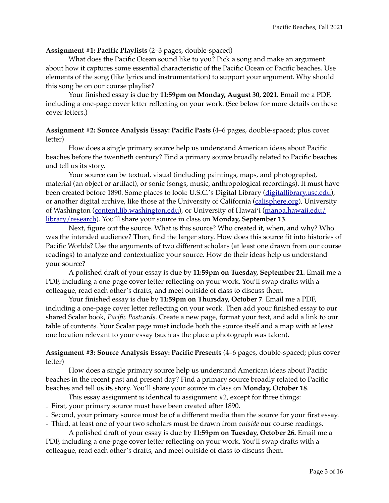## **Assignment #1: Pacific Playlists** (2–3 pages, double-spaced)

What does the Pacific Ocean sound like to you? Pick a song and make an argument about how it captures some essential characteristic of the Pacific Ocean or Pacific beaches. Use elements of the song (like lyrics and instrumentation) to support your argument. Why should this song be on our course playlist?

Your finished essay is due by **11:59pm on Monday, August 30, 2021.** Email me a PDF, including a one-page cover letter reflecting on your work. (See below for more details on these cover letters.)

#### **Assignment #2: Source Analysis Essay: Pacific Pasts** (4–6 pages, double-spaced; plus cover letter)

How does a single primary source help us understand American ideas about Pacific beaches before the twentieth century? Find a primary source broadly related to Pacific beaches and tell us its story.

Your source can be textual, visual (including paintings, maps, and photographs), material (an object or artifact), or sonic (songs, music, anthropological recordings). It must have been created before 1890. Some places to look: U.S.C.'s Digital Library ([digitallibrary.usc.edu](http://digitallibrary.usc.edu)), or another digital archive, like those at the University of California ([calisphere.org\)](https://calisphere.org), University of Washington [\(content.lib.washington.edu](http://content.lib.washington.edu)), or University of Hawaiʻi ([manoa.hawaii.edu/](https://manoa.hawaii.edu/library/research/collections/digital-image-collection/) [library/research\)](https://manoa.hawaii.edu/library/research/collections/digital-image-collection/). You'll share your source in class on **Monday, September 13**.

Next, figure out the source. What is this source? Who created it, when, and why? Who was the intended audience? Then, find the larger story. How does this source fit into histories of Pacific Worlds? Use the arguments of two different scholars (at least one drawn from our course readings) to analyze and contextualize your source. How do their ideas help us understand your source?

A polished draft of your essay is due by **11:59pm on Tuesday, September 21.** Email me a PDF, including a one-page cover letter reflecting on your work. You'll swap drafts with a colleague, read each other's drafts, and meet outside of class to discuss them.

Your finished essay is due by **11:59pm on Thursday, October 7**. Email me a PDF, including a one-page cover letter reflecting on your work. Then add your finished essay to our shared Scalar book, *Pacific Postcards*. Create a new page, format your text, and add a link to our table of contents. Your Scalar page must include both the source itself and a map with at least one location relevant to your essay (such as the place a photograph was taken).

## **Assignment #3: Source Analysis Essay: Pacific Presents** (4–6 pages, double-spaced; plus cover letter)

How does a single primary source help us understand American ideas about Pacific beaches in the recent past and present day? Find a primary source broadly related to Pacific beaches and tell us its story. You'll share your source in class on **Monday, October 18**.

This essay assignment is identical to assignment #2, except for three things:

- First, your primary source must have been created after 1890.
- Second, your primary source must be of a different media than the source for your first essay.
- Third, at least one of your two scholars must be drawn from *outside* our course readings.

A polished draft of your essay is due by **11:59pm on Tuesday, October 26.** Email me a PDF, including a one-page cover letter reflecting on your work. You'll swap drafts with a colleague, read each other's drafts, and meet outside of class to discuss them.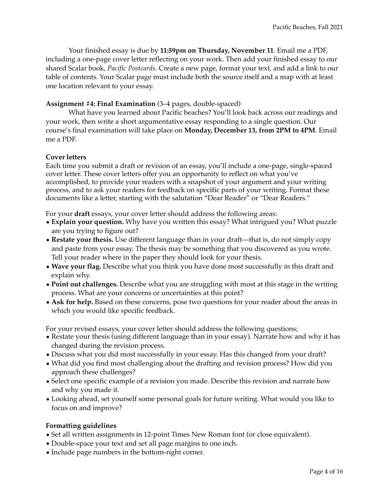Your finished essay is due by **11:59pm on Thursday, November 11**. Email me a PDF, including a one-page cover letter reflecting on your work. Then add your finished essay to our shared Scalar book, *Pacific Postcards*. Create a new page, format your text, and add a link to our table of contents. Your Scalar page must include both the source itself and a map with at least one location relevant to your essay.

## **Assignment #4: Final Examination** (3–4 pages, double-spaced)

What have you learned about Pacific beaches? You'll look back across our readings and your work, then write a short argumentative essay responding to a single question. Our course's final examination will take place on **Monday, December 13, from 2PM to 4PM**. Email me a PDF.

#### **Cover letters**

Each time you submit a draft or revision of an essay, you'll include a one-page, single-spaced cover letter. These cover letters offer you an opportunity to reflect on what you've accomplished, to provide your readers with a snapshot of your argument and your writing process, and to ask your readers for feedback on specific parts of your writing. Format these documents like a letter, starting with the salutation "Dear Reader" or "Dear Readers."

For your **draft** essays, your cover letter should address the following areas:

- **Explain your question.** Why have you written this essay? What intrigued you? What puzzle are you trying to figure out?
- **Restate your thesis.** Use different language than in your draft—that is, do not simply copy and paste from your essay. The thesis may be something that you discovered as you wrote. Tell your reader where in the paper they should look for your thesis.
- **Wave your flag.** Describe what you think you have done most successfully in this draft and explain why.
- **Point out challenges.** Describe what you are struggling with most at this stage in the writing process. What are your concerns or uncertainties at this point?
- **Ask for help.** Based on these concerns, pose two questions for your reader about the areas in which you would like specific feedback.

For your revised essays, your cover letter should address the following questions;

- Restate your thesis (using different language than in your essay). Narrate how and why it has changed during the revision process.
- Discuss what you did most successfully in your essay. Has this changed from your draft?
- What did you find most challenging about the drafting and revision process? How did you approach these challenges?
- Select one specific example of a revision you made. Describe this revision and narrate how and why you made it.
- Looking ahead, set yourself some personal goals for future writing. What would you like to focus on and improve?

### **Formatting guidelines**

- Set all written assignments in 12-point Times New Roman font (or close equivalent).
- Double-space your text and set all page margins to one inch.
- Include page numbers in the bottom-right corner.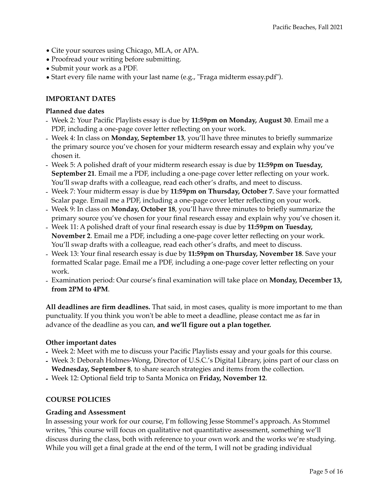- Cite your sources using Chicago, MLA, or APA.
- Proofread your writing before submitting.
- Submit your work as a PDF.
- Start every file name with your last name (e.g., "Fraga midterm essay.pdf").

## **IMPORTANT DATES**

#### **Planned due dates**

- Week 2: Your Pacific Playlists essay is due by **11:59pm on Monday, August 30**. Email me a PDF, including a one-page cover letter reflecting on your work.
- Week 4: In class on **Monday, September 13**, you'll have three minutes to briefly summarize the primary source you've chosen for your midterm research essay and explain why you've chosen it.
- Week 5: A polished draft of your midterm research essay is due by **11:59pm on Tuesday, September 21**. Email me a PDF, including a one-page cover letter reflecting on your work. You'll swap drafts with a colleague, read each other's drafts, and meet to discuss.
- Week 7: Your midterm essay is due by **11:59pm on Thursday, October 7**. Save your formatted Scalar page. Email me a PDF, including a one-page cover letter reflecting on your work.
- Week 9: In class on **Monday, October 18**, you'll have three minutes to briefly summarize the primary source you've chosen for your final research essay and explain why you've chosen it.
- Week 11: A polished draft of your final research essay is due by **11:59pm on Tuesday, November 2**. Email me a PDF, including a one-page cover letter reflecting on your work. You'll swap drafts with a colleague, read each other's drafts, and meet to discuss.
- Week 13: Your final research essay is due by **11:59pm on Thursday, November 18**. Save your formatted Scalar page. Email me a PDF, including a one-page cover letter reflecting on your work.
- Examination period: Our course's final examination will take place on **Monday, December 13, from 2PM to 4PM**.

**All deadlines are firm deadlines.** That said, in most cases, quality is more important to me than punctuality. If you think you won't be able to meet a deadline, please contact me as far in advance of the deadline as you can, **and we'll figure out a plan together.** 

#### **Other important dates**

- **-** Week 2: Meet with me to discuss your Pacific Playlists essay and your goals for this course.
- **-** Week 3: Deborah Holmes-Wong, Director of U.S.C.'s Digital Library, joins part of our class on **Wednesday, September 8**, to share search strategies and items from the collection.
- **-** Week 12: Optional field trip to Santa Monica on **Friday, November 12**.

#### **COURSE POLICIES**

#### **Grading and Assessment**

In assessing your work for our course, I'm following Jesse Stommel's approach. As Stommel writes, "this course will focus on qualitative not quantitative assessment, something we'll discuss during the class, both with reference to your own work and the works we're studying. While you will get a final grade at the end of the term, I will not be grading individual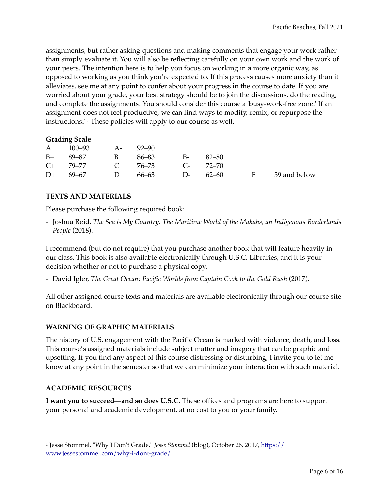assignments, but rather asking questions and making comments that engage your work rather than simply evaluate it. You will also be reflecting carefully on your own work and the work of your peers. The intention here is to help you focus on working in a more organic way, as opposed to working as you think you're expected to. If this process causes more anxiety than it alleviates, see me at any point to confer about your progress in the course to date. If you are worried about your grade, your best strategy should be to join the discussions, do the reading, and complete the assignments. You should consider this course a 'busy-work-free zone.' If an assignment does not feel productive, we can find ways to modify, remix, or repurpose the instructions."<sup>[1](#page-5-0)</sup> These policies will apply to our course as well.

#### <span id="page-5-1"></span>**Grading Scale**

|      | A 100–93 A-        | $92 - 90$                     |      |       |  |
|------|--------------------|-------------------------------|------|-------|--|
|      | $B+$ 89–87 B 86–83 |                               | – B- | 82–80 |  |
|      |                    | C+ 79–77 C 76–73 C- 72–70     |      |       |  |
| $D+$ | 69–67 D            | 66–63 D- 62–60 F 59 and below |      |       |  |

#### **TEXTS AND MATERIALS**

Please purchase the following required book:

- Joshua Reid, *The Sea is My Country: The Maritime World of the Makahs, an Indigenous Borderlands People* (2018).

I recommend (but do not require) that you purchase another book that will feature heavily in our class. This book is also available electronically through U.S.C. Libraries, and it is your decision whether or not to purchase a physical copy.

- David Igler, *The Great Ocean: Pacific Worlds from Captain Cook to the Gold Rush (2017)*.

All other assigned course texts and materials are available electronically through our course site on Blackboard.

#### **WARNING OF GRAPHIC MATERIALS**

The history of U.S. engagement with the Pacific Ocean is marked with violence, death, and loss. This course's assigned materials include subject matter and imagery that can be graphic and upsetting. If you find any aspect of this course distressing or disturbing, I invite you to let me know at any point in the semester so that we can minimize your interaction with such material.

#### **ACADEMIC RESOURCES**

**I want you to succeed—and so does U.S.C.** These offices and programs are here to support your personal and academic development, at no cost to you or your family.

<span id="page-5-0"></span>[<sup>1</sup>](#page-5-1) Jesse Stommel, "Why I Don't Grade," *Jesse Stommel* (blog), October 26, 2017, [https://](https://www.jessestommel.com/why-i-dont-grade/) [www.jessestommel.com/why-i-dont-grade/](https://www.jessestommel.com/why-i-dont-grade/)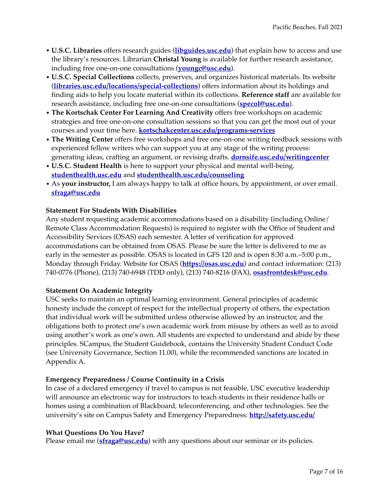- **• U.S.C. Libraries** offers research guides (**[libguides.usc.edu](https://libguides.usc.edu)**) that explain how to access and use the library's resources. Librarian **Christal Young** is available for further research assistance, including free one-on-one consultations (**[youngc@usc.edu](mailto:youngc@usc.edu)**).
- **• U.S.C. Special Collections** collects, preserves, and organizes historical materials. Its website (**[libraries.usc.edu/locations/special-collections](https://libraries.usc.edu/locations/special-collections)**) offers information about its holdings and finding aids to help you locate material within its collections. **Reference staff** are available for research assistance, including free one-on-one consultations (**[specol@usc.edu](mailto:specol@usc.edu)**).
- **• The Kortschak Center For Learning And Creativity** offers free workshops on academic strategies and free one-on-one consultation sessions so that you can get the most out of your courses and your time here. **[kortschakcenter.usc.edu/programs-services](https://kortschakcenter.usc.edu/programs-services/)**
- **• The Writing Center** offers free workshops and free one-on-one writing feedback sessions with experienced fellow writers who can support you at any stage of the writing process: generating ideas, crafting an argument, or revising drafts. **[dornsife.usc.edu/writingcenter](https://dornsife.usc.edu/writingcenter/)**
- **• U.S.C. Student Health** is here to support your physical and mental well-being. **[studenthealth.usc.edu](https://studenthealth.usc.edu)** and **[studenthealth.usc.edu/counseling](https://studenthealth.usc.edu/counseling/)**
- **•** As **your instructor,** I am always happy to talk at office hours, by appointment, or over email. **[sfraga@usc.edu](mailto:sfraga@usc.edu)**

## **Statement For Students With Disabilities**

Any student requesting academic accommodations based on a disability (including Online/ Remote Class Accommodation Requests) is required to register with the Office of Student and Accessibility Services (OSAS) each semester. A letter of verification for approved accommodations can be obtained from OSAS. Please be sure the letter is delivered to me as early in the semester as possible. OSAS is located in GFS 120 and is open 8:30 a.m.–5:00 p.m., Monday through Friday. Website for OSAS (**<https://osas.usc.edu>**) and contact information: (213) 740-0776 (Phone), (213) 740-6948 (TDD only), (213) 740-8216 (FAX), **[osasfrontdesk@usc.edu](mailto:osasfrontdesk@usc.edu)**.

#### **Statement On Academic Integrity**

USC seeks to maintain an optimal learning environment. General principles of academic honesty include the concept of respect for the intellectual property of others, the expectation that individual work will be submitted unless otherwise allowed by an instructor, and the obligations both to protect one's own academic work from misuse by others as well as to avoid using another's work as one's own. All students are expected to understand and abide by these principles. SCampus, the Student Guidebook, contains the University Student Conduct Code (see University Governance, Section 11.00), while the recommended sanctions are located in Appendix A.

#### **Emergency Preparedness / Course Continuity in a Crisis**

In case of a declared emergency if travel to campus is not feasible, USC executive leadership will announce an electronic way for instructors to teach students in their residence halls or homes using a combination of Blackboard, teleconferencing, and other technologies. See the university's site on Campus Safety and Emergency Preparedness: **<http://safety.usc.edu/>**

#### **What Questions Do You Have?**

Please email me (**[sfraga@usc.edu](mailto:sfraga@usc.edu)**) with any questions about our seminar or its policies.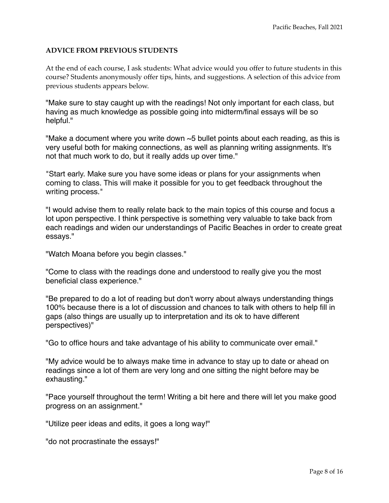## **ADVICE FROM PREVIOUS STUDENTS**

At the end of each course, I ask students: What advice would you offer to future students in this course? Students anonymously offer tips, hints, and suggestions. A selection of this advice from previous students appears below.

"Make sure to stay caught up with the readings! Not only important for each class, but having as much knowledge as possible going into midterm/final essays will be so helpful."

"Make a document where you write down  $\sim$  5 bullet points about each reading, as this is very useful both for making connections, as well as planning writing assignments. It's not that much work to do, but it really adds up over time."

"Start early. Make sure you have some ideas or plans for your assignments when coming to class. This will make it possible for you to get feedback throughout the writing process."

"I would advise them to really relate back to the main topics of this course and focus a lot upon perspective. I think perspective is something very valuable to take back from each readings and widen our understandings of Pacific Beaches in order to create great essays."

"Watch Moana before you begin classes."

"Come to class with the readings done and understood to really give you the most beneficial class experience."

"Be prepared to do a lot of reading but don't worry about always understanding things 100% because there is a lot of discussion and chances to talk with others to help fill in gaps (also things are usually up to interpretation and its ok to have different perspectives)"

"Go to office hours and take advantage of his ability to communicate over email."

"My advice would be to always make time in advance to stay up to date or ahead on readings since a lot of them are very long and one sitting the night before may be exhausting."

"Pace yourself throughout the term! Writing a bit here and there will let you make good progress on an assignment."

"Utilize peer ideas and edits, it goes a long way!"

"do not procrastinate the essays!"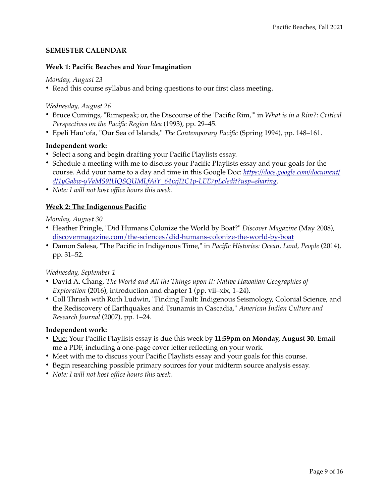## **SEMESTER CALENDAR**

#### **Week 1: Pacific Beaches and** *Your* **Imagination**

*Monday, August 23* 

• Read this course syllabus and bring questions to our first class meeting.

#### *Wednesday, August 26*

- Bruce Cumings, "Rimspeak; or, the Discourse of the 'Pacific Rim,'" in *What is in a Rim?: Critical Perspectives on the Pacific Region Idea* (1993), pp. 29–45.
- Epeli Hauʻofa, "Our Sea of Islands," *The Contemporary Pacific* (Spring 1994), pp. 148–161.

#### **Independent work:**

- Select a song and begin drafting your Pacific Playlists essay.
- Schedule a meeting with me to discuss your Pacific Playlists essay and your goals for the [course. Add your name to a day and time in this Google Doc:](https://docs.google.com/document/d/1yGabw-yVaMS9IUQSQUMLfAiY_64jxjI2C1p-LEE7pLc/edit?usp=sharing) *[https://docs.google.com/document/](https://docs.google.com/document/d/1yGabw-yVaMS9IUQSQUMLfAiY_64jxjI2C1p-LEE7pLc/edit?usp=sharing) [d/1yGabw-yVaMS9IUQSQUMLfAiY\\_64jxjI2C1p-LEE7pLc/edit?usp=sharing](https://docs.google.com/document/d/1yGabw-yVaMS9IUQSQUMLfAiY_64jxjI2C1p-LEE7pLc/edit?usp=sharing)*.
- *Note: I will not host office hours this week.*

## **Week 2: The Indigenous Pacific**

*Monday, August 30* 

- Heather Pringle, "Did Humans Colonize the World by Boat?" *Discover Magazine* (May 2008), [discovermagazine.com/the-sciences/did-humans-colonize-the-world-by-boat](https://www.discovermagazine.com/the-sciences/did-humans-colonize-the-world-by-boat)
- Damon Salesa, "The Pacific in Indigenous Time," in *Pacific Histories: Ocean, Land, People* (2014), pp. 31–52.

*Wednesday, September 1*

- David A. Chang, *The World and All the Things upon It: Native Hawaiian Geographies of Exploration* (2016), introduction and chapter 1 (pp. vii–xix, 1–24).
- Coll Thrush with Ruth Ludwin, "Finding Fault: Indigenous Seismology, Colonial Science, and the Rediscovery of Earthquakes and Tsunamis in Cascadia," *American Indian Culture and Research Journal* (2007), pp. 1–24.

#### **Independent work:**

- Due: Your Pacific Playlists essay is due this week by **11:59pm on Monday, August 30**. Email me a PDF, including a one-page cover letter reflecting on your work.
- Meet with me to discuss your Pacific Playlists essay and your goals for this course.
- Begin researching possible primary sources for your midterm source analysis essay.
- *Note: I will not host office hours this week.*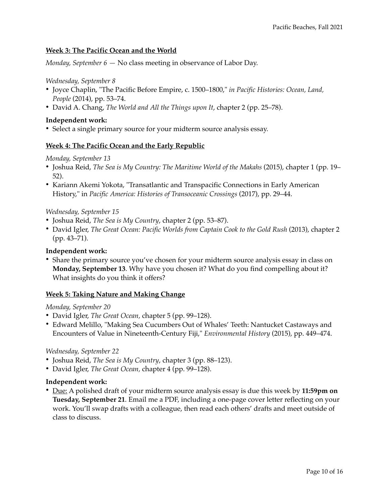## **Week 3: The Pacific Ocean and the World**

*Monday, September 6 —* No class meeting in observance of Labor Day.

#### *Wednesday, September 8*

- Joyce Chaplin, "The Pacific Before Empire, c. 1500–1800," *in Pacific Histories: Ocean, Land, People* (2014), pp. 53–74.
- David A. Chang, *The World and All the Things upon It*, chapter 2 (pp. 25–78).

#### **Independent work:**

• Select a single primary source for your midterm source analysis essay.

#### **Week 4: The Pacific Ocean and the Early Republic**

#### *Monday, September 13*

- Joshua Reid, *The Sea is My Country: The Maritime World of the Makahs* (2015), chapter 1 (pp. 19– 52).
- Kariann Akemi Yokota, "Transatlantic and Transpacific Connections in Early American History," in *Pacific America: Histories of Transoceanic Crossings* (2017), pp. 29–44.

#### *Wednesday, September 15*

- Joshua Reid, *The Sea is My Country*, chapter 2 (pp. 53–87).
- David Igler, *The Great Ocean: Pacific Worlds from Captain Cook to the Gold Rush (2013)*, chapter 2 (pp. 43–71).

#### **Independent work:**

• Share the primary source you've chosen for your midterm source analysis essay in class on **Monday, September 13**. Why have you chosen it? What do you find compelling about it? What insights do you think it offers?

#### **Week 5: Taking Nature and Making Change**

#### *Monday, September 20*

- David Igler, *The Great Ocean,* chapter 5 (pp. 99–128).
- Edward Melillo, "Making Sea Cucumbers Out of Whales' Teeth: Nantucket Castaways and Encounters of Value in Nineteenth-Century Fiji," *Environmental History* (2015), pp. 449–474.

#### *Wednesday, September 22*

- Joshua Reid, *The Sea is My Country*, chapter 3 (pp. 88–123).
- David Igler, *The Great Ocean,* chapter 4 (pp. 99–128).

#### **Independent work:**

• Due: A polished draft of your midterm source analysis essay is due this week by **11:59pm on Tuesday, September 21**. Email me a PDF, including a one-page cover letter reflecting on your work. You'll swap drafts with a colleague, then read each others' drafts and meet outside of class to discuss.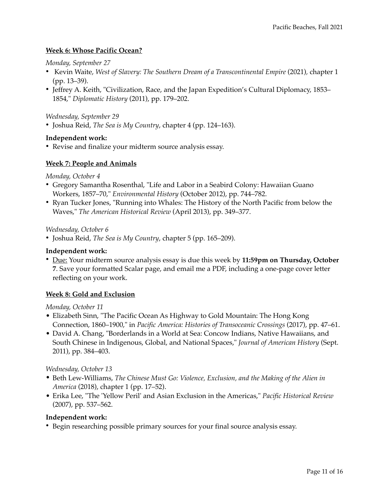## **Week 6: Whose Pacific Ocean?**

#### *Monday, September 27*

- Kevin Waite, *West of Slavery: The Southern Dream of a Transcontinental Empire* (2021)*,* chapter 1 (pp. 13–39).
- Jeffrey A. Keith, "Civilization, Race, and the Japan Expedition's Cultural Diplomacy, 1853– 1854," *Diplomatic History* (2011), pp. 179–202.

*Wednesday, September 29* 

• Joshua Reid, *The Sea is My Country*, chapter 4 (pp. 124–163).

#### **Independent work:**

• Revise and finalize your midterm source analysis essay.

#### **Week 7: People and Animals**

*Monday, October 4* 

- Gregory Samantha Rosenthal, "Life and Labor in a Seabird Colony: Hawaiian Guano Workers, 1857–70," *Environmental History* (October 2012), pp. 744–782.
- Ryan Tucker Jones, "Running into Whales: The History of the North Pacific from below the Waves," *The American Historical Review* (April 2013), pp. 349–377.

#### *Wednesday, October 6*

• Joshua Reid, *The Sea is My Country*, chapter 5 (pp. 165–209).

#### **Independent work:**

• Due: Your midterm source analysis essay is due this week by **11:59pm on Thursday, October 7**. Save your formatted Scalar page, and email me a PDF, including a one-page cover letter reflecting on your work.

#### **Week 8: Gold and Exclusion**

#### *Monday, October 11*

- Elizabeth Sinn, "The Pacific Ocean As Highway to Gold Mountain: The Hong Kong Connection, 1860–1900," in *Pacific America: Histories of Transoceanic Crossings* (2017), pp. 47–61.
- David A. Chang, "Borderlands in a World at Sea: Concow Indians, Native Hawaiians, and South Chinese in Indigenous, Global, and National Spaces," *Journal of American History* (Sept. 2011), pp. 384–403.

#### *Wednesday, October 13*

- Beth Lew-Williams, *The Chinese Must Go: Violence, Exclusion, and the Making of the Alien in America* (2018), chapter 1 (pp. 17–52).
- Erika Lee, "The 'Yellow Peril' and Asian Exclusion in the Americas," *Pacific Historical Review* (2007), pp. 537–562.

#### **Independent work:**

• Begin researching possible primary sources for your final source analysis essay.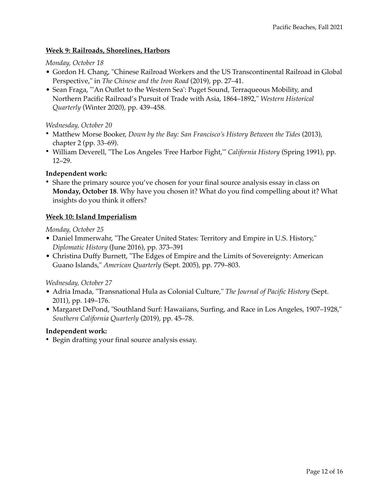## **Week 9: Railroads, Shorelines, Harbors**

#### *Monday, October 18*

- Gordon H. Chang, "Chinese Railroad Workers and the US Transcontinental Railroad in Global Perspective," in *The Chinese and the Iron Road* (2019), pp. 27–41.
- Sean Fraga, "'An Outlet to the Western Sea': Puget Sound, Terraqueous Mobility, and Northern Pacific Railroad's Pursuit of Trade with Asia, 1864–1892," *Western Historical Quarterly* (Winter 2020), pp. 439–458.

### *Wednesday, October 20*

- Matthew Morse Booker, *Down by the Bay: San Francisco's History Between the Tides* (2013), chapter 2 (pp. 33–69).
- William Deverell, "The Los Angeles 'Free Harbor Fight,'" *California History* (Spring 1991), pp. 12–29.

#### **Independent work:**

• Share the primary source you've chosen for your final source analysis essay in class on **Monday, October 18**. Why have you chosen it? What do you find compelling about it? What insights do you think it offers?

#### **Week 10: Island Imperialism**

*Monday, October 25* 

- Daniel Immerwahr, "The Greater United States: Territory and Empire in U.S. History," *Diplomatic History* (June 2016), pp. 373–391
- Christina Duffy Burnett, "The Edges of Empire and the Limits of Sovereignty: American Guano Islands," *American Quarterly* (Sept. 2005), pp. 779–803.

*Wednesday, October 27* 

- Adria Imada, "Transnational Hula as Colonial Culture," *The Journal of Pacific History* (Sept. 2011), pp. 149–176.
- Margaret DePond, "Southland Surf: Hawaiians, Surfing, and Race in Los Angeles, 1907–1928," *Southern California Quarterly* (2019), pp. 45–78.

#### **Independent work:**

• Begin drafting your final source analysis essay.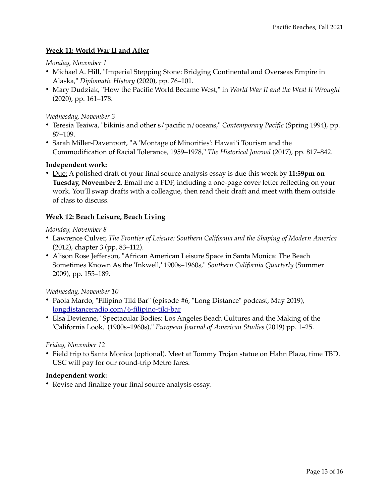## **Week 11: World War II and After**

*Monday, November 1* 

- Michael A. Hill, "Imperial Stepping Stone: Bridging Continental and Overseas Empire in Alaska," *Diplomatic History* (2020), pp. 76–101.
- Mary Dudziak, "How the Pacific World Became West," in *World War II and the West It Wrought* (2020), pp. 161–178.

#### *Wednesday, November 3*

- Teresia Teaiwa, "bikinis and other s/pacific n/oceans," *Contemporary Pacific* (Spring 1994), pp. 87–109.
- Sarah Miller-Davenport, "A 'Montage of Minorities': Hawaiʻi Tourism and the Commodification of Racial Tolerance, 1959–1978," *The Historical Journal* (2017), pp. 817–842.

#### **Independent work:**

• Due: A polished draft of your final source analysis essay is due this week by **11:59pm on Tuesday, November 2**. Email me a PDF, including a one-page cover letter reflecting on your work. You'll swap drafts with a colleague, then read their draft and meet with them outside of class to discuss.

#### **Week 12: Beach Leisure, Beach Living**

*Monday, November 8* 

- Lawrence Culver, *The Frontier of Leisure: Southern California and the Shaping of Modern America*  (2012), chapter 3 (pp. 83–112).
- Alison Rose Jefferson, "African American Leisure Space in Santa Monica: The Beach Sometimes Known As the 'Inkwell,' 1900s–1960s," *Southern California Quarterly* (Summer 2009), pp. 155–189.

#### *Wednesday, November 10*

- Paola Mardo, "Filipino Tiki Bar" (episode #6, "Long Distance" podcast, May 2019), [longdistanceradio.com/6-filipino-tiki-bar](https://www.longdistanceradio.com/6-filipino-tiki-bar)
- Elsa Devienne, "Spectacular Bodies: Los Angeles Beach Cultures and the Making of the 'California Look,' (1900s–1960s)," *European Journal of American Studies* (2019) pp. 1–25.

#### *Friday, November 12*

• Field trip to Santa Monica (optional). Meet at Tommy Trojan statue on Hahn Plaza, time TBD. USC will pay for our round-trip Metro fares.

#### **Independent work:**

• Revise and finalize your final source analysis essay.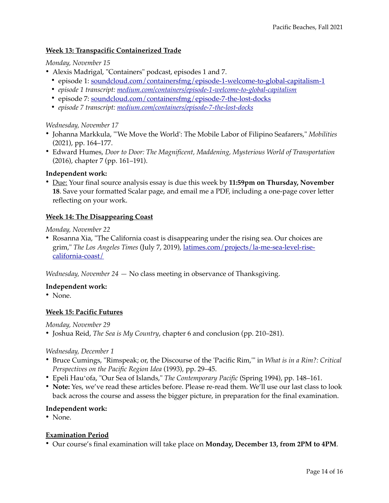## **Week 13: Transpacific Containerized Trade**

*Monday, November 15* 

- Alexis Madrigal, "Containers" podcast, episodes 1 and 7.
	- episode 1: [soundcloud.com/containersfmg/episode-1-welcome-to-global-capitalism-1](https://soundcloud.com/containersfmg/episode-1-welcome-to-global-capitalism-1)
	- *episode 1 transcript: [medium.com/containers/episode-1-welcome-to-global-capitalism](https://medium.com/containers/episode-1-welcome-to-global-capitalism-f9f56c92f414)*
	- episode 7: [soundcloud.com/containersfmg/episode-7-the-lost-docks](https://soundcloud.com/containersfmg/episode-7-the-lost-docks)
	- *episode 7 transcript: [medium.com/containers/episode-7-the-lost-docks](https://medium.com/containers/episode-7-the-lost-docks-7734122032c1)*

## *Wednesday, November 17*

- Johanna Markkula, "'We Move the World': The Mobile Labor of Filipino Seafarers," *Mobilities* (2021), pp. 164–177.
- Edward Humes, *Door to Door: The Magnificent, Maddening, Mysterious World of Transportation* (2016), chapter 7 (pp. 161–191).

## **Independent work:**

• Due: Your final source analysis essay is due this week by **11:59pm on Thursday, November 18**. Save your formatted Scalar page, and email me a PDF, including a one-page cover letter reflecting on your work.

## **Week 14: The Disappearing Coast**

*Monday, November 22* 

• Rosanna Xia, "The California coast is disappearing under the rising sea. Our choices are grim," *The Los Angeles Times* (July 7, 2019), [latimes.com/projects/la-me-sea-level-rise](https://www.latimes.com/projects/la-me-sea-level-rise-california-coast/)[california-coast/](https://www.latimes.com/projects/la-me-sea-level-rise-california-coast/)

*Wednesday, November 24 —* No class meeting in observance of Thanksgiving.

#### **Independent work:**

• None.

#### **Week 15: Pacific Futures**

*Monday, November 29*

• Joshua Reid, *The Sea is My Country*, chapter 6 and conclusion (pp. 210–281).

#### *Wednesday, December 1*

- Bruce Cumings, "Rimspeak; or, the Discourse of the 'Pacific Rim,'" in *What is in a Rim?: Critical Perspectives on the Pacific Region Idea* (1993), pp. 29–45.
- Epeli Hauʻofa, "Our Sea of Islands," *The Contemporary Pacific* (Spring 1994), pp. 148–161.
- **Note:** Yes, we've read these articles before. Please re-read them. We'll use our last class to look back across the course and assess the bigger picture, in preparation for the final examination.

#### **Independent work:**

• None.

## **Examination Period**

• Our course's final examination will take place on **Monday, December 13, from 2PM to 4PM**.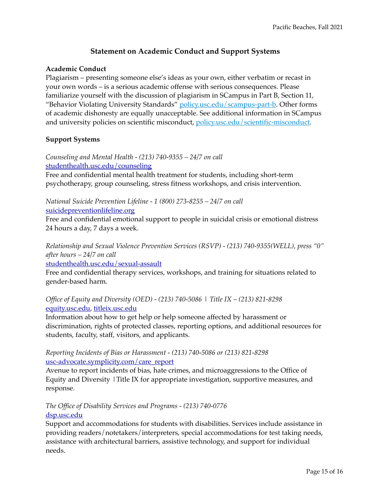# **Statement on Academic Conduct and Support Systems**

#### **Academic Conduct**

Plagiarism – presenting someone else's ideas as your own, either verbatim or recast in your own words – is a serious academic offense with serious consequences. Please familiarize yourself with the discussion of plagiarism in SCampus in Part B, Section 11, "Behavior Violating University Standards" [policy.usc.edu/scampus-part-b.](https://policy.usc.edu/scampus-part-b/) Other forms of academic dishonesty are equally unacceptable. See additional information in SCampus and university policies on scientific misconduct, [policy.usc.edu/scientific-misconduct.](http://policy.usc.edu/scientific-misconduct) 

#### **Support Systems**

*Counseling and Mental Health - (213) 740-9355 – 24/7 on call*  [studenthealth.usc.edu/counseling](https://studenthealth.usc.edu/counseling/)

Free and confidential mental health treatment for students, including short-term psychotherapy, group counseling, stress fitness workshops, and crisis intervention.

*National Suicide Prevention Lifeline - 1 (800) 273-8255 – 24/7 on call* 

[suicidepreventionlifeline.org](http://www.suicidepreventionlifeline.org/)

Free and confidential emotional support to people in suicidal crisis or emotional distress 24 hours a day, 7 days a week.

*Relationship and Sexual Violence Prevention Services (RSVP) - (213) 740-9355(WELL), press "0" after hours – 24/7 on call* 

[studenthealth.usc.edu/sexual-assault](https://studenthealth.usc.edu/sexual-assault/)

Free and confidential therapy services, workshops, and training for situations related to gender-based harm[.](https://engemannshc.usc.edu/rsvp/)

## *Office of Equity and Diversity (OED) - (213) 740-5086 | Title IX – (213) 821-8298*  [equity.usc.edu](https://equity.usc.edu/), [titleix.usc.edu](http://titleix.usc.edu)

Information about how to get help or help someone affected by harassment or discrimination, rights of protected classes, reporting options, and additional resources for students, faculty, staff, visitors, and applicants.

#### *Reporting Incidents of Bias or Harassment - (213) 740-5086 or (213) 821-8298*  [usc-advocate.symplicity.com/care\\_report](https://usc-advocate.symplicity.com/care_report/)

Avenue to report incidents of bias, hate crimes, and microaggressions to the Office of Equity and Diversity |Title IX for appropriate investigation, supportive measures, and response.

## *The Office of Disability Services and Programs - (213) 740-0776*  [dsp.usc.edu](http://dsp.usc.edu/)

Support and accommodations for students with disabilities. Services include assistance in providing readers/notetakers/interpreters, special accommodations for test taking needs, assistance with architectural barriers, assistive technology, and support for individual needs.